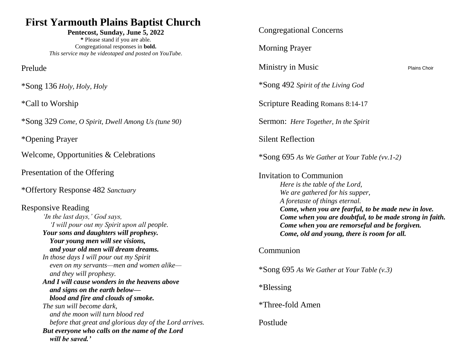## **First Yarmouth Plains Baptist Church**

**Pentecost, Sunday, June 5, 2022 \*** Please stand if you are able. Congregational responses in **bold.** *This service may be videotaped and posted on YouTube.*

Prelude

\*Song 136 *Holy, Holy, Holy*

\*Call to Worship

\*Song 329 *Come, O Spirit, Dwell Among Us (tune 90)*

\*Opening Prayer

Welcome, Opportunities & Celebrations

Presentation of the Offering

\*Offertory Response 482 *Sanctuary*

Responsive Reading *'In the last days,' God says, 'I will pour out my Spirit upon all people. Your sons and daughters will prophesy. Your young men will see visions, and your old men will dream dreams. In those days I will pour out my Spirit even on my servants—men and women alike and they will prophesy. And I will cause wonders in the heavens above and signs on the earth below blood and fire and clouds of smoke. The sun will become dark, and the moon will turn blood red before that great and glorious day of the Lord arrives. But everyone who calls on the name of the Lord will be saved.'*

| <b>Congregational Concerns</b>                                                                                                                                                                                                                                                                                                                   |                     |
|--------------------------------------------------------------------------------------------------------------------------------------------------------------------------------------------------------------------------------------------------------------------------------------------------------------------------------------------------|---------------------|
| <b>Morning Prayer</b>                                                                                                                                                                                                                                                                                                                            |                     |
| Ministry in Music                                                                                                                                                                                                                                                                                                                                | <b>Plains Choir</b> |
| *Song 492 Spirit of the Living God                                                                                                                                                                                                                                                                                                               |                     |
| Scripture Reading Romans 8:14-17                                                                                                                                                                                                                                                                                                                 |                     |
| <b>Sermon:</b> Here Together, In the Spirit                                                                                                                                                                                                                                                                                                      |                     |
| <b>Silent Reflection</b>                                                                                                                                                                                                                                                                                                                         |                     |
| *Song 695 As We Gather at Your Table (vv.1-2)                                                                                                                                                                                                                                                                                                    |                     |
| Invitation to Communion<br>Here is the table of the Lord,<br>We are gathered for his supper,<br>A foretaste of things eternal.<br>Come, when you are fearful, to be made new in love.<br>Come when you are doubtful, to be made strong in faith.<br>Come when you are remorseful and be forgiven.<br>Come, old and young, there is room for all. |                     |
| Communion                                                                                                                                                                                                                                                                                                                                        |                     |
| $\text{* Song } 695$ As We Gather at Your Table (v.3)                                                                                                                                                                                                                                                                                            |                     |
| *Blessing                                                                                                                                                                                                                                                                                                                                        |                     |
| *Three-fold Amen                                                                                                                                                                                                                                                                                                                                 |                     |
| Postlude                                                                                                                                                                                                                                                                                                                                         |                     |